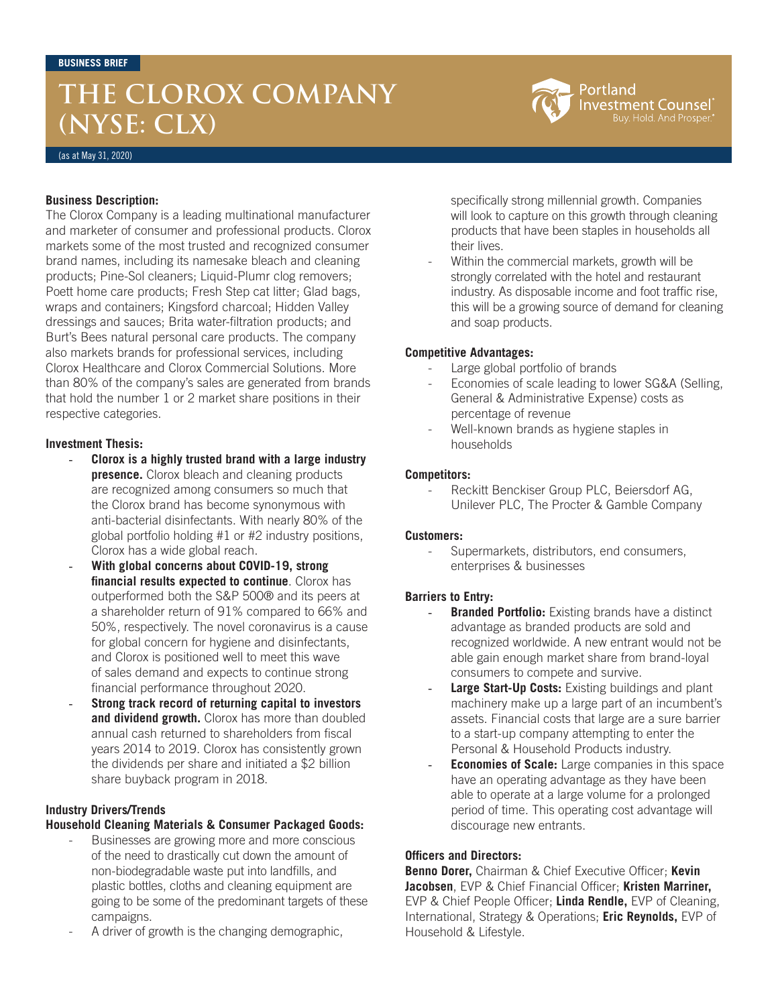## **THE CLOROX COMPANY (NYSE: CLX)**



(as at May 31, 2020)

### **Business Description:**

The Clorox Company is a leading multinational manufacturer and marketer of consumer and professional products. Clorox markets some of the most trusted and recognized consumer brand names, including its namesake bleach and cleaning products; Pine-Sol cleaners; Liquid-Plumr clog removers; Poett home care products; Fresh Step cat litter; Glad bags, wraps and containers; Kingsford charcoal; Hidden Valley dressings and sauces; Brita water-filtration products; and Burt's Bees natural personal care products. The company also markets brands for professional services, including Clorox Healthcare and Clorox Commercial Solutions. More than 80% of the company's sales are generated from brands that hold the number 1 or 2 market share positions in their respective categories.

## **Investment Thesis:**

- **Clorox is a highly trusted brand with a large industry presence.** Clorox bleach and cleaning products are recognized among consumers so much that the Clorox brand has become synonymous with anti-bacterial disinfectants. With nearly 80% of the global portfolio holding #1 or #2 industry positions, Clorox has a wide global reach.
- With global concerns about COVID-19, strong **financial results expected to continue**. Clorox has outperformed both the S&P 500® and its peers at a shareholder return of 91% compared to 66% and 50%, respectively. The novel coronavirus is a cause for global concern for hygiene and disinfectants, and Clorox is positioned well to meet this wave of sales demand and expects to continue strong financial performance throughout 2020.
- **Strong track record of returning capital to investors and dividend growth.** Clorox has more than doubled annual cash returned to shareholders from fiscal years 2014 to 2019. Clorox has consistently grown the dividends per share and initiated a \$2 billion share buyback program in 2018.

## **Industry Drivers/Trends**

## **Household Cleaning Materials & Consumer Packaged Goods:**

- Businesses are growing more and more conscious of the need to drastically cut down the amount of non-biodegradable waste put into landfills, and plastic bottles, cloths and cleaning equipment are going to be some of the predominant targets of these campaigns.
- A driver of growth is the changing demographic,

specifically strong millennial growth. Companies will look to capture on this growth through cleaning products that have been staples in households all their lives.

Within the commercial markets, growth will be strongly correlated with the hotel and restaurant industry. As disposable income and foot traffic rise, this will be a growing source of demand for cleaning and soap products.

## **Competitive Advantages:**

- Large global portfolio of brands
- Economies of scale leading to lower SG&A (Selling, General & Administrative Expense) costs as percentage of revenue
- Well-known brands as hygiene staples in households

## **Competitors:**

Reckitt Benckiser Group PLC, Beiersdorf AG, Unilever PLC, The Procter & Gamble Company

#### **Customers:**

Supermarkets, distributors, end consumers, enterprises & businesses

#### **Barriers to Entry:**

- **Branded Portfolio:** Existing brands have a distinct advantage as branded products are sold and recognized worldwide. A new entrant would not be able gain enough market share from brand-loyal consumers to compete and survive.
- Large Start-Up Costs: Existing buildings and plant machinery make up a large part of an incumbent's assets. Financial costs that large are a sure barrier to a start-up company attempting to enter the Personal & Household Products industry.
- **Economies of Scale:** Large companies in this space have an operating advantage as they have been able to operate at a large volume for a prolonged period of time. This operating cost advantage will discourage new entrants.

#### **Officers and Directors:**

**Benno Dorer,** Chairman & Chief Executive Officer; **Kevin Jacobsen**, EVP & Chief Financial Officer; **Kristen Marriner,** EVP & Chief People Officer; **Linda Rendle,** EVP of Cleaning, International, Strategy & Operations; **Eric Reynolds,** EVP of Household & Lifestyle.